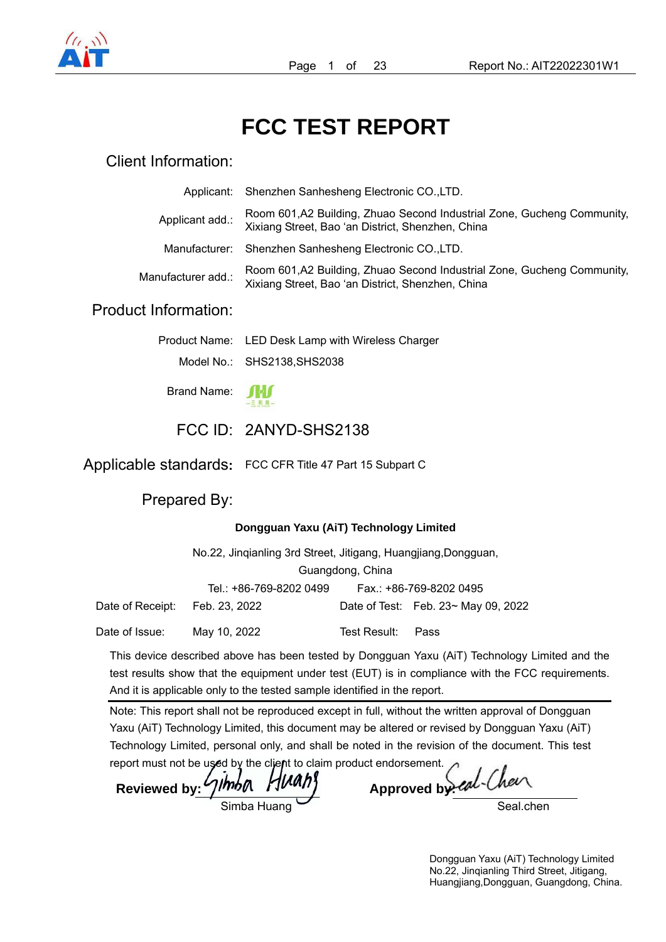

# **FCC TEST REPORT**

## Client Information:

|                             | Applicant: Shenzhen Sanhesheng Electronic CO., LTD.                                                                          |
|-----------------------------|------------------------------------------------------------------------------------------------------------------------------|
| Applicant add.:             | Room 601, A2 Building, Zhuao Second Industrial Zone, Gucheng Community,<br>Xixiang Street, Bao 'an District, Shenzhen, China |
| Manufacturer:               | Shenzhen Sanhesheng Electronic CO., LTD.                                                                                     |
| Manufacturer add.:          | Room 601, A2 Building, Zhuao Second Industrial Zone, Gucheng Community,<br>Xixiang Street, Bao 'an District, Shenzhen, China |
| <b>Product Information:</b> |                                                                                                                              |
|                             |                                                                                                                              |

| Product Name: LED Desk Lamp with Wireless Charger |
|---------------------------------------------------|
| Model No.: SHS2138, SHS2038                       |

Brand Name:



## FCC ID: 2ANYD-SHS2138

Applicable standards**:** FCC CFR Title 47 Part 15 Subpart C

Prepared By:

#### **Dongguan Yaxu (AiT) Technology Limited**

|                  | No.22, Jingianling 3rd Street, Jitigang, Huangjiang, Dongguan, |              |                                           |  |  |  |
|------------------|----------------------------------------------------------------|--------------|-------------------------------------------|--|--|--|
|                  | Guangdong, China                                               |              |                                           |  |  |  |
|                  | Tel.: +86-769-8202 0499                                        |              | Fax.: +86-769-8202 0495                   |  |  |  |
| Date of Receipt: | Feb. 23, 2022                                                  |              | Date of Test: Feb. $23 \sim$ May 09, 2022 |  |  |  |
| Date of Issue:   | May 10, 2022                                                   | Test Result: | Pass                                      |  |  |  |

This device described above has been tested by Dongguan Yaxu (AiT) Technology Limited and the test results show that the equipment under test (EUT) is in compliance with the FCC requirements. And it is applicable only to the tested sample identified in the report.

Note: This report shall not be reproduced except in full, without the written approval of Dongguan Yaxu (AiT) Technology Limited, this document may be altered or revised by Dongguan Yaxu (AiT) Technology Limited, personal only, and shall be noted in the revision of the document. This test

report must not be used by the client to claim product endorsement. Reviewed by: 71hb A HWAhy Approved by

ed-Cheer

Seal.chen

Dongguan Yaxu (AiT) Technology Limited No.22, Jinqianling Third Street, Jitigang, Huangjiang,Dongguan, Guangdong, China.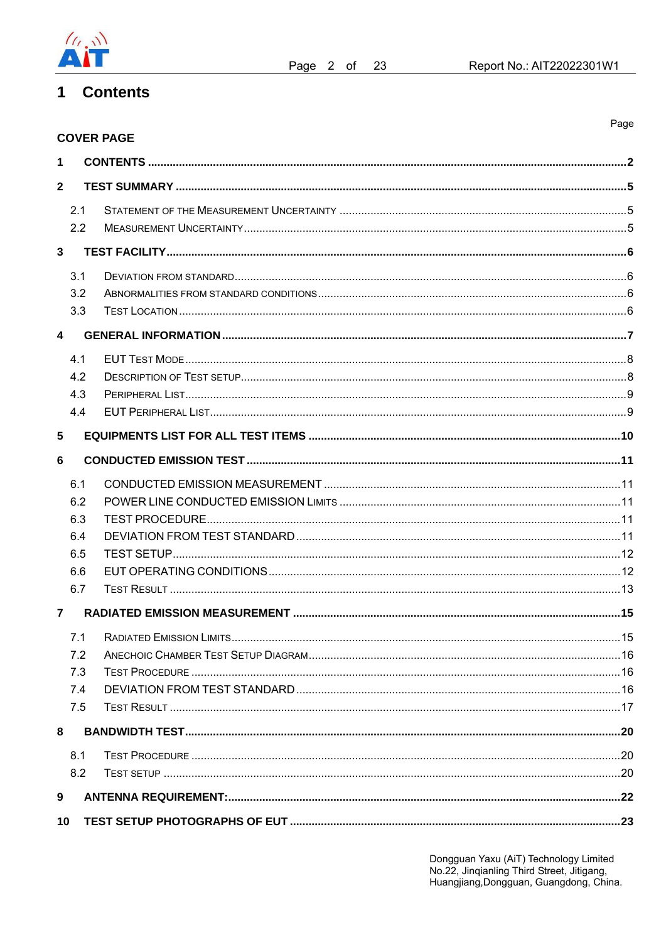

Page

#### **Contents**  $\mathbf 1$

|                         | <b>COVER PAGE</b> |  |
|-------------------------|-------------------|--|
| $\mathbf 1$             |                   |  |
| $\mathbf{2}$            |                   |  |
| 2.1                     |                   |  |
| 2.2                     |                   |  |
| $\overline{\mathbf{3}}$ |                   |  |
| 3.1                     |                   |  |
| 3.2                     |                   |  |
| 3.3                     |                   |  |
| $\boldsymbol{\Lambda}$  |                   |  |
| 4.1                     |                   |  |
| 4.2                     |                   |  |
| 4.3                     |                   |  |
| 4.4                     |                   |  |
| 5                       |                   |  |
| 6                       |                   |  |
| 6.1                     |                   |  |
| 6.2                     |                   |  |
| 6.3                     |                   |  |
| 6.4                     |                   |  |
| 6.5                     |                   |  |
| 6.6                     |                   |  |
| 6.7                     |                   |  |
| $\overline{7}$          |                   |  |
|                         |                   |  |
| 7.2                     |                   |  |
| 7.3                     |                   |  |
| 7.4                     |                   |  |
| 7.5                     |                   |  |
| 8                       |                   |  |
| 8.1                     |                   |  |
| 8.2                     |                   |  |
| 9                       |                   |  |
| 10                      |                   |  |

Dongguan Yaxu (AiT) Technology Limited<br>No.22, Jinqianling Third Street, Jitigang,<br>Huangjiang,Dongguan, Guangdong, China.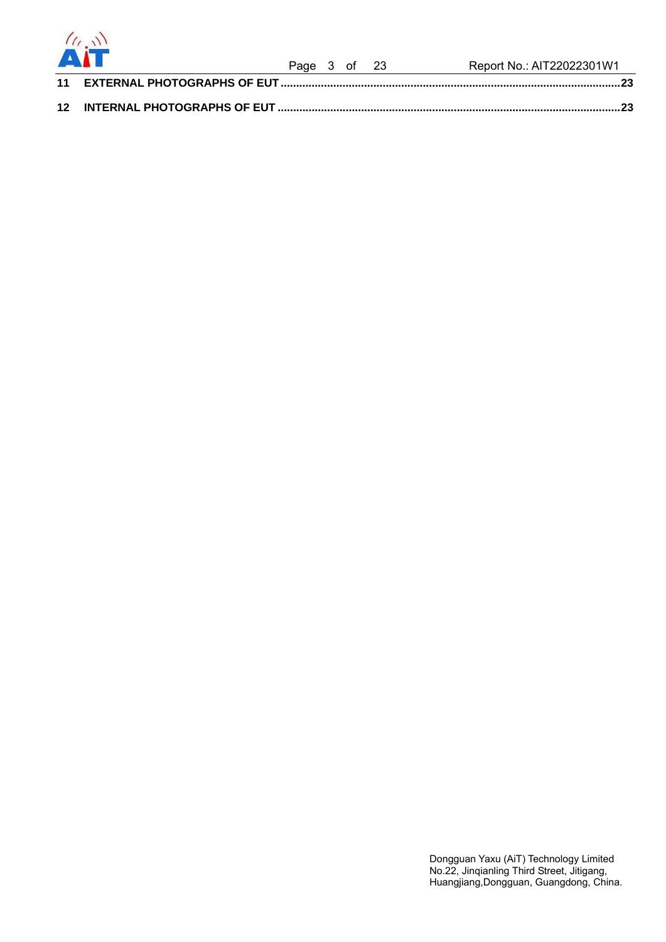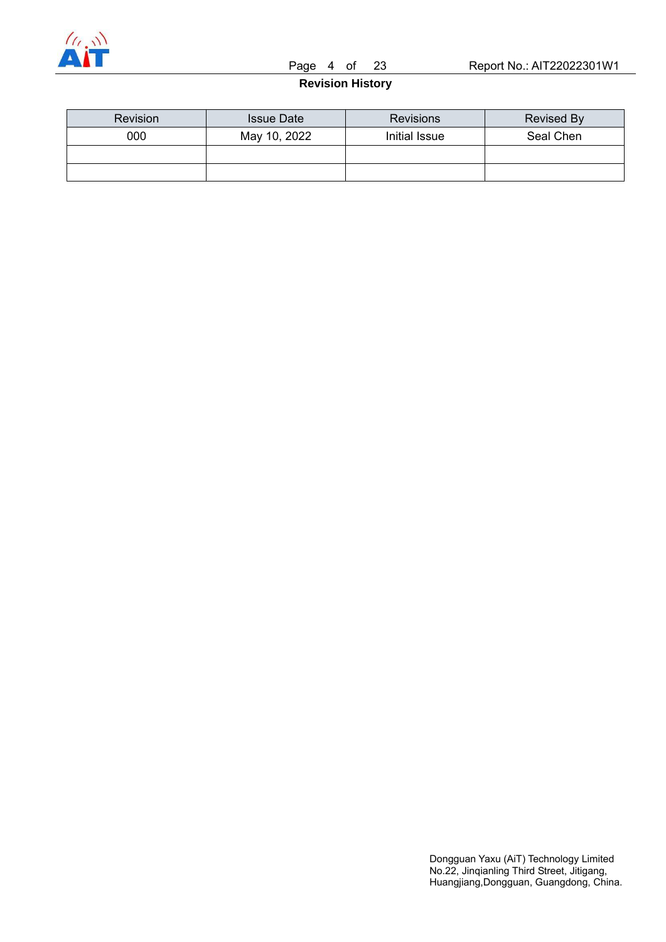

Page 4 of 23 Report No.: AIT22022301W1

**Revision History** 

| <b>Revision</b> | <b>Issue Date</b> | <b>Revisions</b> | Revised By |
|-----------------|-------------------|------------------|------------|
| 000             | May 10, 2022      | Initial Issue    | Seal Chen  |
|                 |                   |                  |            |
|                 |                   |                  |            |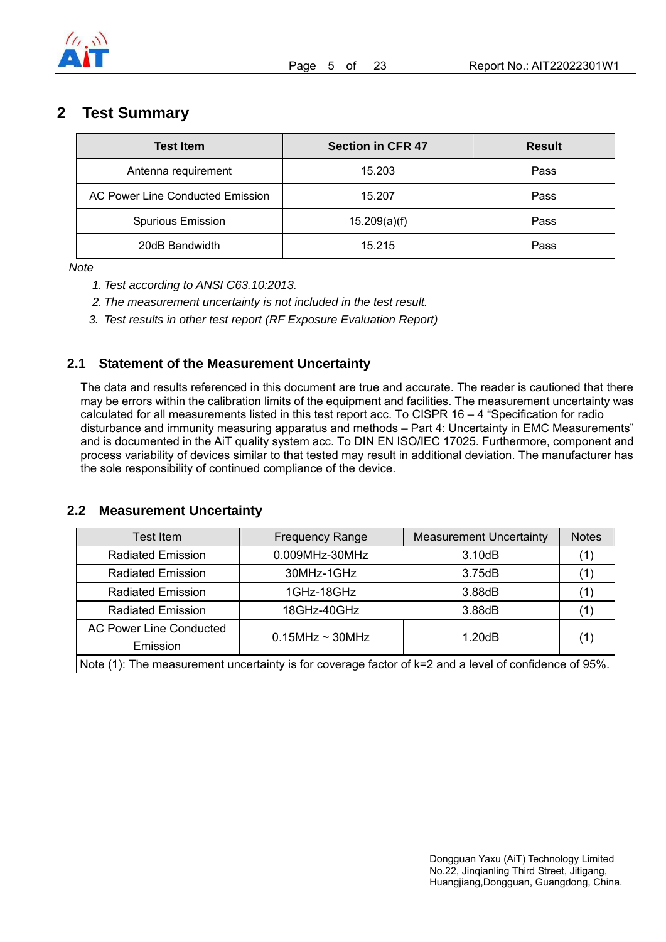

## **2 Test Summary**

| <b>Test Item</b>                 | <b>Section in CFR 47</b> | <b>Result</b> |
|----------------------------------|--------------------------|---------------|
| Antenna requirement              | 15.203                   | Pass          |
| AC Power Line Conducted Emission | 15.207                   | Pass          |
| Spurious Emission                | 15.209(a)(f)             | Pass          |
| 20dB Bandwidth                   | 15.215                   | Pass          |

*Note* 

- *1. Test according to ANSI C63.10:2013.*
- *2. The measurement uncertainty is not included in the test result.*
- *3. Test results in other test report (RF Exposure Evaluation Report)*

### **2.1 Statement of the Measurement Uncertainty**

The data and results referenced in this document are true and accurate. The reader is cautioned that there may be errors within the calibration limits of the equipment and facilities. The measurement uncertainty was calculated for all measurements listed in this test report acc. To CISPR 16 – 4 "Specification for radio disturbance and immunity measuring apparatus and methods – Part 4: Uncertainty in EMC Measurements" and is documented in the AiT quality system acc. To DIN EN ISO/IEC 17025. Furthermore, component and process variability of devices similar to that tested may result in additional deviation. The manufacturer has the sole responsibility of continued compliance of the device.

### **2.2 Measurement Uncertainty**

| Test Item                      | <b>Frequency Range</b>                                                                                     | <b>Measurement Uncertainty</b> | <b>Notes</b> |
|--------------------------------|------------------------------------------------------------------------------------------------------------|--------------------------------|--------------|
| <b>Radiated Emission</b>       | 0.009MHz-30MHz                                                                                             | 3.10dB                         | (1)          |
| <b>Radiated Emission</b>       | 30MHz-1GHz                                                                                                 | 3.75dB                         |              |
| <b>Radiated Emission</b>       | 1GHz-18GHz                                                                                                 | 3.88dB                         |              |
| <b>Radiated Emission</b>       | 18GHz-40GHz                                                                                                | 3.88dB                         | (1)          |
| <b>AC Power Line Conducted</b> | $0.15$ MHz ~ 30MHz                                                                                         | 1.20dB                         |              |
| Emission                       |                                                                                                            |                                | (1)          |
|                                | Note $(1)$ : The measurement uncertainty is for coverage factor of $k=2$ and a level of confidence of 95%. |                                |              |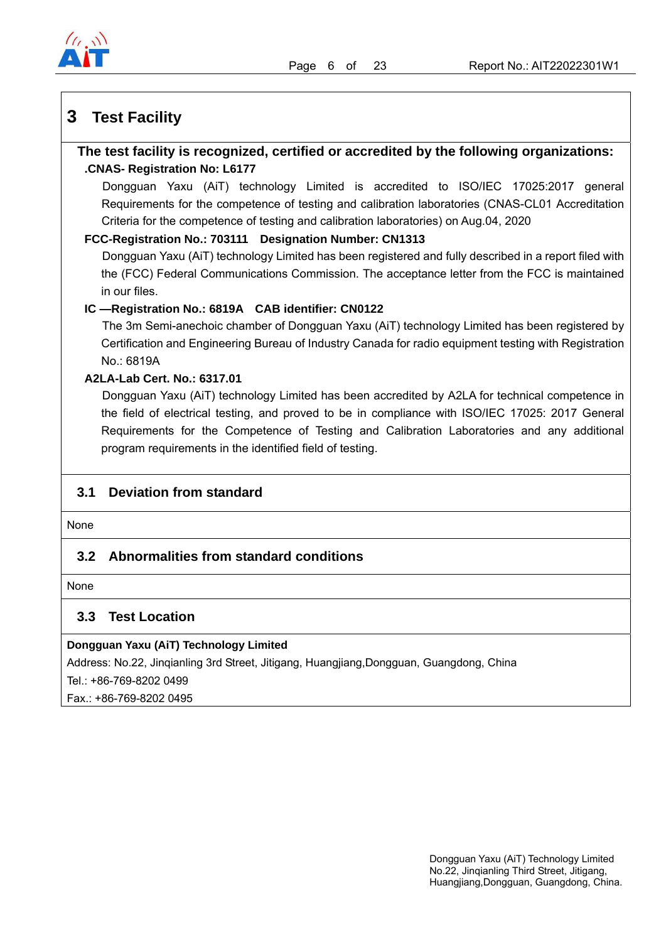

## **3 Test Facility**

### **The test facility is recognized, certified or accredited by the following organizations: .CNAS- Registration No: L6177**

Dongguan Yaxu (AiT) technology Limited is accredited to ISO/IEC 17025:2017 general Requirements for the competence of testing and calibration laboratories (CNAS-CL01 Accreditation Criteria for the competence of testing and calibration laboratories) on Aug.04, 2020

#### **FCC-Registration No.: 703111 Designation Number: CN1313**

Dongguan Yaxu (AiT) technology Limited has been registered and fully described in a report filed with the (FCC) Federal Communications Commission. The acceptance letter from the FCC is maintained in our files.

#### **IC —Registration No.: 6819A CAB identifier: CN0122**

The 3m Semi-anechoic chamber of Dongguan Yaxu (AiT) technology Limited has been registered by Certification and Engineering Bureau of Industry Canada for radio equipment testing with Registration No.: 6819A

#### **A2LA-Lab Cert. No.: 6317.01**

Dongguan Yaxu (AiT) technology Limited has been accredited by A2LA for technical competence in the field of electrical testing, and proved to be in compliance with ISO/IEC 17025: 2017 General Requirements for the Competence of Testing and Calibration Laboratories and any additional program requirements in the identified field of testing.

## **3.1 Deviation from standard**

None

### **3.2 Abnormalities from standard conditions**

None

## **3.3 Test Location**

#### **Dongguan Yaxu (AiT) Technology Limited**

Address: No.22, Jinqianling 3rd Street, Jitigang, Huangjiang,Dongguan, Guangdong, China

Tel.: +86-769-8202 0499

Fax.: +86-769-8202 0495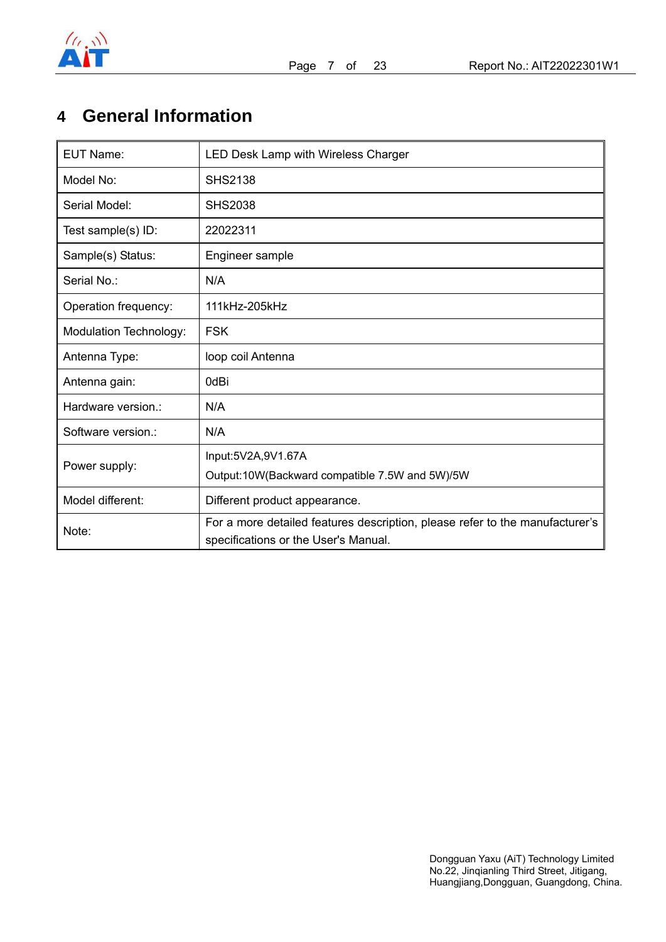

## **4 General Information**

| <b>EUT Name:</b>       | LED Desk Lamp with Wireless Charger                                                                                  |
|------------------------|----------------------------------------------------------------------------------------------------------------------|
| Model No:              | <b>SHS2138</b>                                                                                                       |
| Serial Model:          | <b>SHS2038</b>                                                                                                       |
| Test sample(s) ID:     | 22022311                                                                                                             |
| Sample(s) Status:      | Engineer sample                                                                                                      |
| Serial No.:            | N/A                                                                                                                  |
| Operation frequency:   | 111kHz-205kHz                                                                                                        |
| Modulation Technology: | <b>FSK</b>                                                                                                           |
| Antenna Type:          | loop coil Antenna                                                                                                    |
| Antenna gain:          | 0dBi                                                                                                                 |
| Hardware version.:     | N/A                                                                                                                  |
| Software version.:     | N/A                                                                                                                  |
| Power supply:          | Input:5V2A,9V1.67A                                                                                                   |
|                        | Output:10W(Backward compatible 7.5W and 5W)/5W                                                                       |
| Model different:       | Different product appearance.                                                                                        |
| Note:                  | For a more detailed features description, please refer to the manufacturer's<br>specifications or the User's Manual. |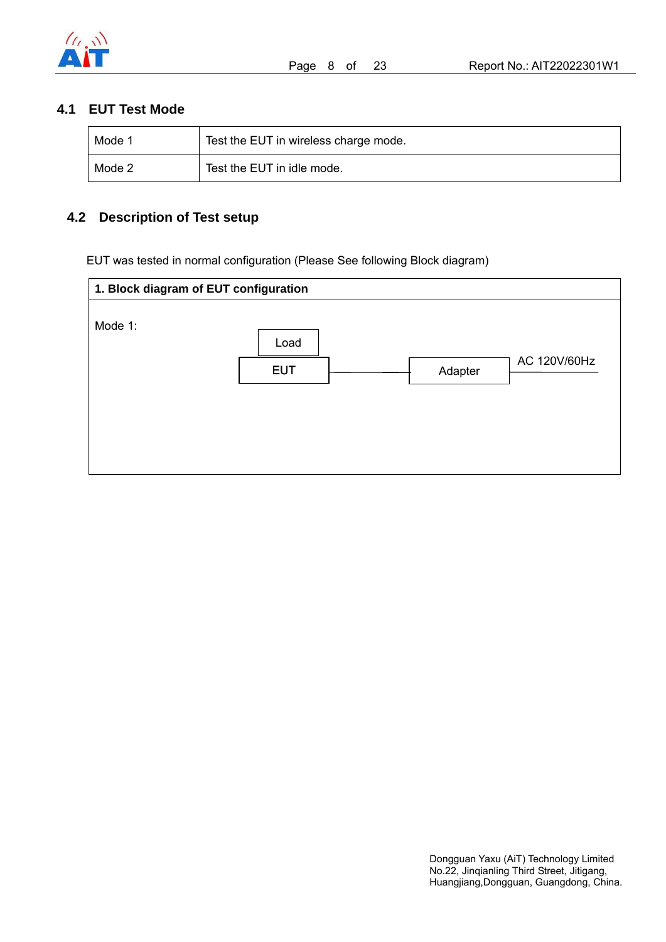

## **4.1 EUT Test Mode**

| Mode 1 | Test the EUT in wireless charge mode. |
|--------|---------------------------------------|
| Mode 2 | Test the EUT in idle mode.            |

## **4.2 Description of Test setup**

EUT was tested in normal configuration (Please See following Block diagram)

| 1. Block diagram of EUT configuration |            |         |              |  |
|---------------------------------------|------------|---------|--------------|--|
| Mode 1:                               |            |         |              |  |
|                                       | Load       |         |              |  |
|                                       | <b>EUT</b> | Adapter | AC 120V/60Hz |  |
|                                       |            |         |              |  |
|                                       |            |         |              |  |
|                                       |            |         |              |  |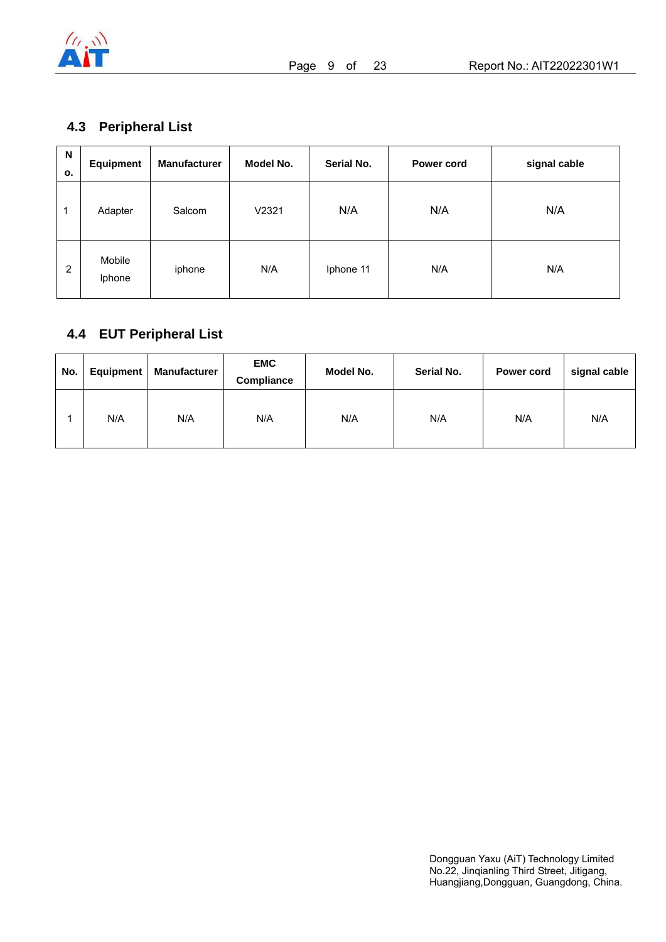

## **4.3 Peripheral List**

| N<br>о.        | <b>Equipment</b> | <b>Manufacturer</b> | Model No. | Serial No. | Power cord | signal cable |
|----------------|------------------|---------------------|-----------|------------|------------|--------------|
| 1              | Adapter          | Salcom              | V2321     | N/A        | N/A        | N/A          |
| $\overline{2}$ | Mobile<br>Iphone | iphone              | N/A       | Iphone 11  | N/A        | N/A          |

## **4.4 EUT Peripheral List**

| No. | Equipment | Manufacturer | <b>EMC</b><br>Compliance | Model No. | Serial No. | Power cord | signal cable |
|-----|-----------|--------------|--------------------------|-----------|------------|------------|--------------|
|     | N/A       | N/A          | N/A                      | N/A       | N/A        | N/A        | N/A          |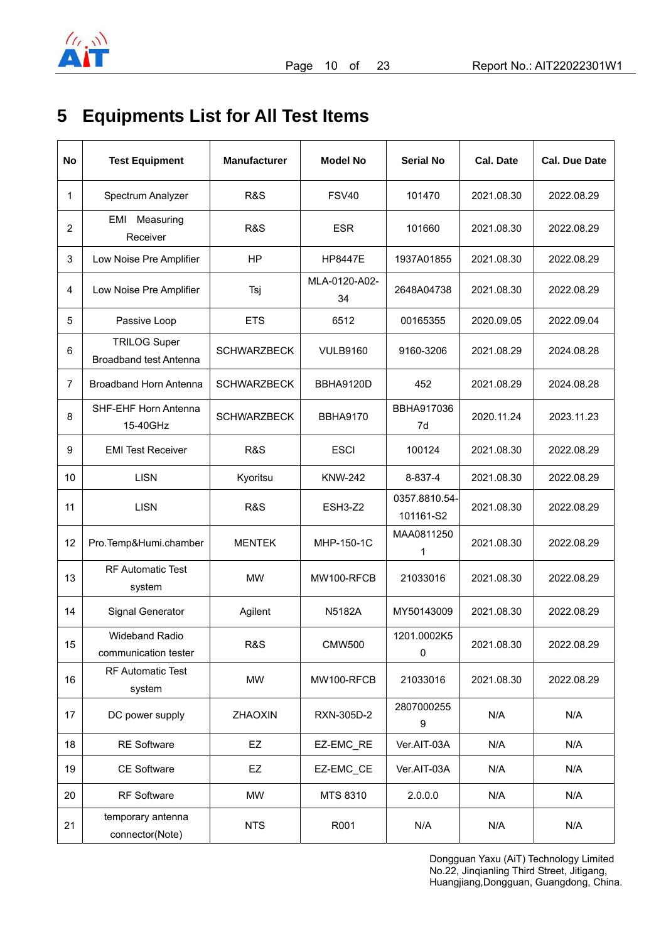

## **5 Equipments List for All Test Items**

| No             | <b>Test Equipment</b>                         | <b>Manufacturer</b> | <b>Model No</b>     | <b>Serial No</b>           | <b>Cal. Date</b> | <b>Cal. Due Date</b> |
|----------------|-----------------------------------------------|---------------------|---------------------|----------------------------|------------------|----------------------|
| 1              | Spectrum Analyzer                             | <b>R&amp;S</b>      | <b>FSV40</b>        | 101470                     | 2021.08.30       | 2022.08.29           |
| $\overline{c}$ | EMI Measuring<br>Receiver                     | R&S                 | <b>ESR</b>          | 101660                     | 2021.08.30       | 2022.08.29           |
| 3              | Low Noise Pre Amplifier                       | <b>HP</b>           | <b>HP8447E</b>      | 1937A01855                 | 2021.08.30       | 2022.08.29           |
| 4              | Low Noise Pre Amplifier                       | Tsj                 | MLA-0120-A02-<br>34 | 2648A04738                 | 2021.08.30       | 2022.08.29           |
| 5              | Passive Loop                                  | <b>ETS</b>          | 6512                | 00165355                   | 2020.09.05       | 2022.09.04           |
| 6              | <b>TRILOG Super</b><br>Broadband test Antenna | <b>SCHWARZBECK</b>  | <b>VULB9160</b>     | 9160-3206                  | 2021.08.29       | 2024.08.28           |
| $\overline{7}$ | Broadband Horn Antenna                        | <b>SCHWARZBECK</b>  | BBHA9120D           | 452                        | 2021.08.29       | 2024.08.28           |
| 8              | SHF-EHF Horn Antenna<br>15-40GHz              | <b>SCHWARZBECK</b>  | <b>BBHA9170</b>     | BBHA917036<br>7d           | 2020.11.24       | 2023.11.23           |
| 9              | <b>EMI Test Receiver</b>                      | <b>R&amp;S</b>      | <b>ESCI</b>         | 100124                     | 2021.08.30       | 2022.08.29           |
| 10             | <b>LISN</b>                                   | Kyoritsu            | <b>KNW-242</b>      | 8-837-4                    | 2021.08.30       | 2022.08.29           |
| 11             | <b>LISN</b>                                   | <b>R&amp;S</b>      | ESH3-Z2             | 0357.8810.54-<br>101161-S2 | 2021.08.30       | 2022.08.29           |
| 12             | Pro.Temp&Humi.chamber                         | <b>MENTEK</b>       | MHP-150-1C          | MAA0811250<br>1            | 2021.08.30       | 2022.08.29           |
| 13             | <b>RF Automatic Test</b><br>system            | MW                  | MW100-RFCB          | 21033016                   | 2021.08.30       | 2022.08.29           |
| 14             | Signal Generator                              | Agilent             | N5182A              | MY50143009                 | 2021.08.30       | 2022.08.29           |
| 15             | <b>Wideband Radio</b><br>communication tester | R&S                 | <b>CMW500</b>       | 1201.0002K5<br>$\mathsf 0$ | 2021.08.30       | 2022.08.29           |
| 16             | <b>RF Automatic Test</b><br>system            | <b>MW</b>           | MW100-RFCB          | 21033016                   | 2021.08.30       | 2022.08.29           |
| 17             | DC power supply                               | ZHAOXIN             | RXN-305D-2          | 2807000255<br>9            | N/A              | N/A                  |
| 18             | <b>RE Software</b>                            | EZ                  | EZ-EMC_RE           | Ver.AIT-03A                | N/A              | N/A                  |
| 19             | <b>CE Software</b>                            | EZ                  | EZ-EMC_CE           | Ver.AIT-03A                | N/A              | N/A                  |
| 20             | RF Software                                   | MW                  | MTS 8310            | 2.0.0.0                    | N/A              | N/A                  |
| 21             | temporary antenna<br>connector(Note)          | <b>NTS</b>          | R001                | N/A                        | N/A              | N/A                  |

Dongguan Yaxu (AiT) Technology Limited No.22, Jinqianling Third Street, Jitigang, Huangjiang,Dongguan, Guangdong, China.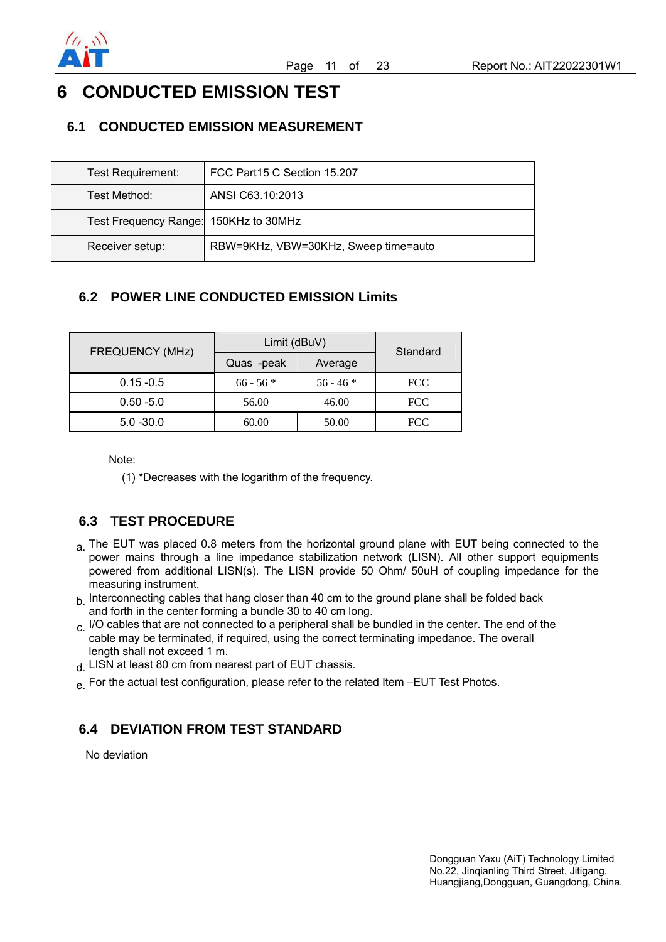

## **6 CONDUCTED EMISSION TEST**

## **6.1 CONDUCTED EMISSION MEASUREMENT**

| Test Requirement:                     | FCC Part15 C Section 15.207          |
|---------------------------------------|--------------------------------------|
| Test Method:                          | ANSI C63.10:2013                     |
| Test Frequency Range: 150KHz to 30MHz |                                      |
| Receiver setup:                       | RBW=9KHz, VBW=30KHz, Sweep time=auto |

## **6.2 POWER LINE CONDUCTED EMISSION Limits**

| <b>FREQUENCY (MHz)</b> | Limit (dBuV) | Standard    |            |
|------------------------|--------------|-------------|------------|
|                        | Quas -peak   | Average     |            |
| $0.15 - 0.5$           | $66 - 56$ *  | $56 - 46$ * | <b>FCC</b> |
| $0.50 - 5.0$           | 56.00        | 46.00       | <b>FCC</b> |
| $5.0 - 30.0$           | 60.00        | 50.00       | <b>FCC</b> |

Note:

(1) \*Decreases with the logarithm of the frequency.

## **6.3 TEST PROCEDURE**

- a. The EUT was placed 0.8 meters from the horizontal ground plane with EUT being connected to the power mains through a line impedance stabilization network (LISN). All other support equipments powered from additional LISN(s). The LISN provide 50 Ohm/ 50uH of coupling impedance for the measuring instrument.
- $h$  Interconnecting cables that hang closer than 40 cm to the ground plane shall be folded back and forth in the center forming a bundle 30 to 40 cm long.
- $c.$  I/O cables that are not connected to a peripheral shall be bundled in the center. The end of the cable may be terminated, if required, using the correct terminating impedance. The overall length shall not exceed 1 m.
- d. LISN at least 80 cm from nearest part of EUT chassis.
- e. For the actual test configuration, please refer to the related Item –EUT Test Photos.

## **6.4 DEVIATION FROM TEST STANDARD**

No deviation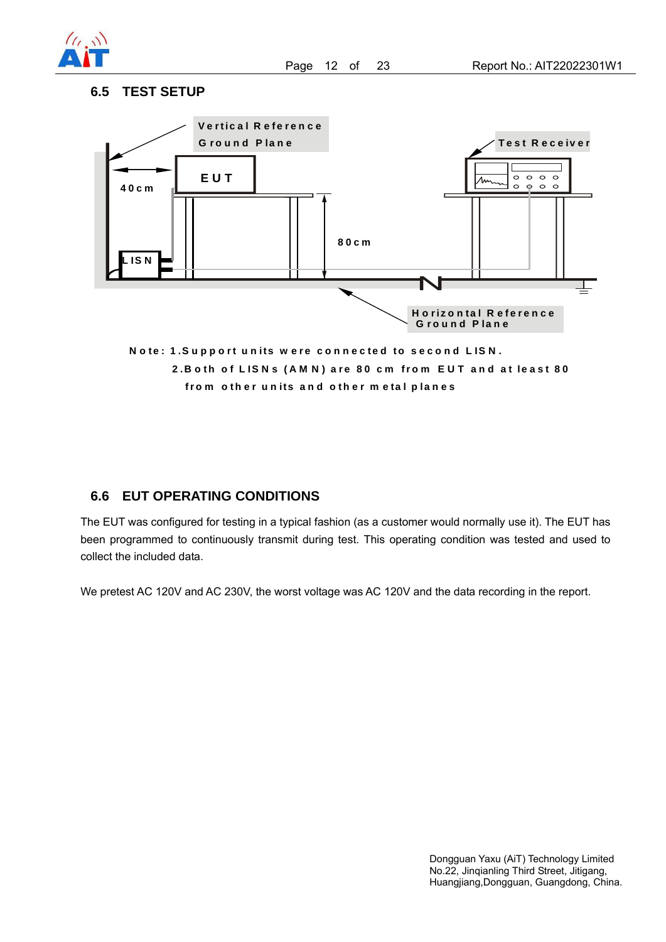

#### **6.5 TEST SETUP**



## **6.6 EUT OPERATING CONDITIONS**

The EUT was configured for testing in a typical fashion (as a customer would normally use it). The EUT has been programmed to continuously transmit during test. This operating condition was tested and used to collect the included data.

We pretest AC 120V and AC 230V, the worst voltage was AC 120V and the data recording in the report.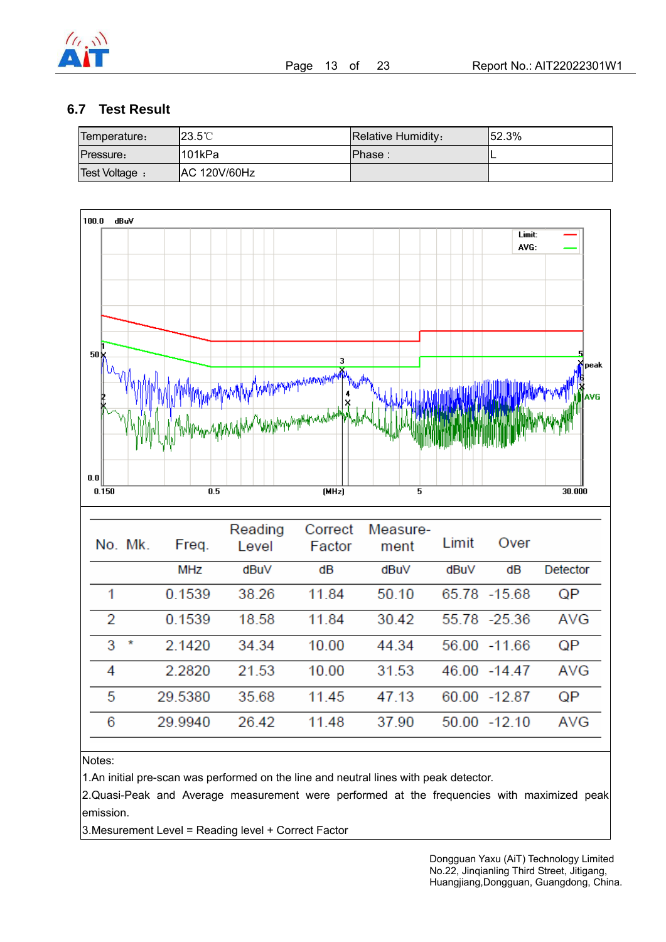

### **6.7 Test Result**

| Temperature:   | $123.5^{\circ}$ C   | Relative Humidity: | $152.3\%$ |
|----------------|---------------------|--------------------|-----------|
| Pressure:      | 1101kPa             | Phase:             |           |
| Test Voltage : | <b>AC 120V/60Hz</b> |                    |           |



#### Notes:

1.An initial pre-scan was performed on the line and neutral lines with peak detector.

2.Quasi-Peak and Average measurement were performed at the frequencies with maximized peak emission.

3.Mesurement Level = Reading level + Correct Factor

Dongguan Yaxu (AiT) Technology Limited No.22, Jinqianling Third Street, Jitigang, Huangjiang,Dongguan, Guangdong, China.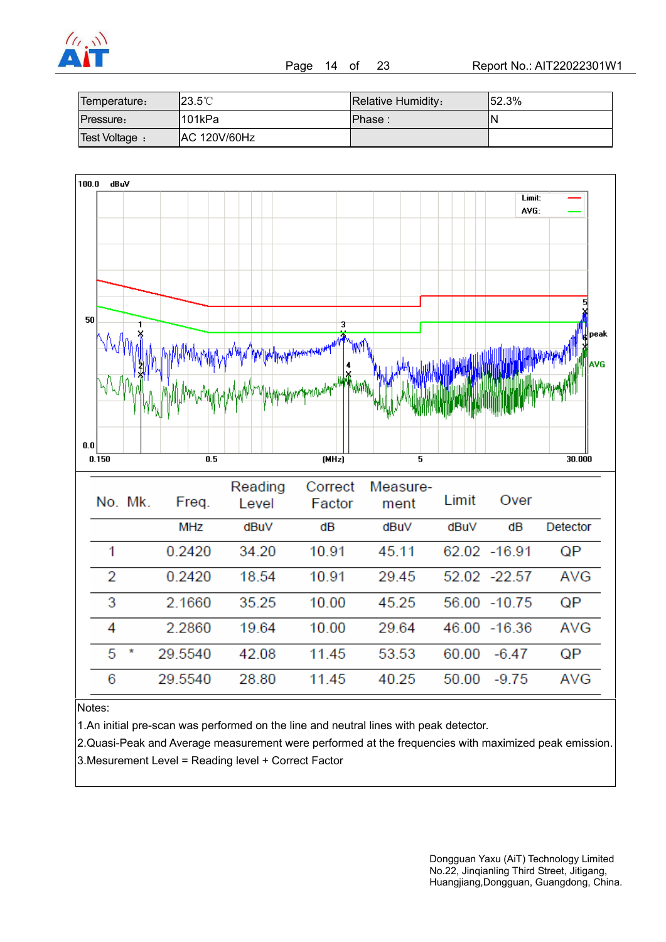

Page 14 of 23 Report No.: AIT22022301W1

| Temperature:   | 123.5℃       | Relative Humidity: | 152.3% |
|----------------|--------------|--------------------|--------|
| Pressure:      | 101kPa       | Phase:             | N      |
| Test Voltage : | AC 120V/60Hz |                    |        |



Notes:

1.An initial pre-scan was performed on the line and neutral lines with peak detector.

2.Quasi-Peak and Average measurement were performed at the frequencies with maximized peak emission. 3.Mesurement Level = Reading level + Correct Factor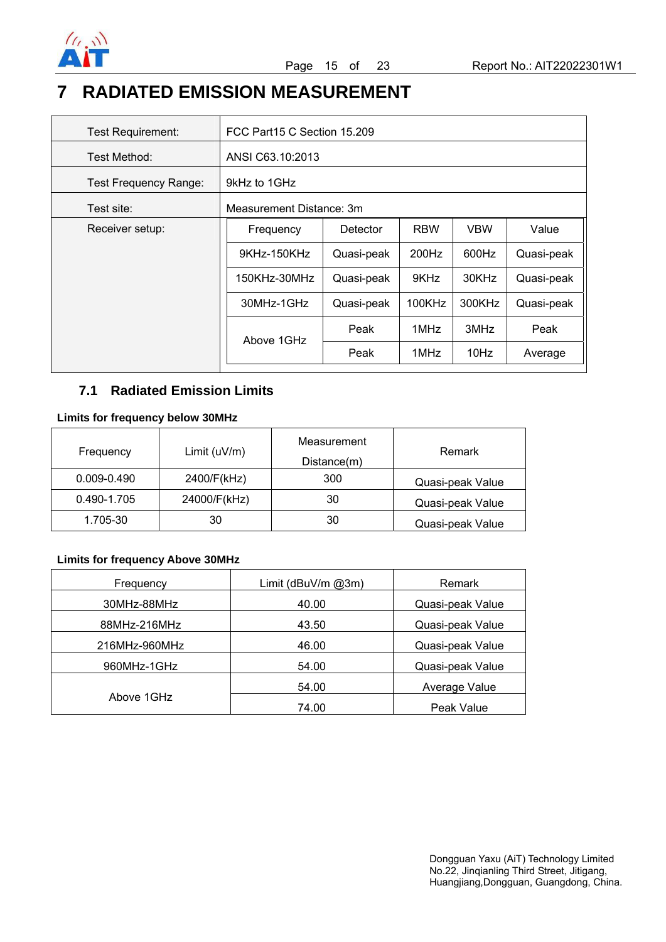

## **7 RADIATED EMISSION MEASUREMENT**

| <b>Test Requirement:</b>     | FCC Part15 C Section 15.209                  |            |            |            |            |
|------------------------------|----------------------------------------------|------------|------------|------------|------------|
| Test Method:                 | ANSI C63.10:2013                             |            |            |            |            |
| <b>Test Frequency Range:</b> | 9kHz to 1GHz                                 |            |            |            |            |
| Test site:                   | Measurement Distance: 3m                     |            |            |            |            |
| Receiver setup:              | Frequency                                    | Detector   | <b>RBW</b> | <b>VBW</b> | Value      |
|                              | 9KHz-150KHz                                  | Quasi-peak | 200Hz      | 600Hz      | Quasi-peak |
|                              | 9KHz<br>150KHz-30MHz<br>Quasi-peak           |            | 30KHz      | Quasi-peak |            |
|                              | 30MHz-1GHz<br>100KHz<br>300KHz<br>Quasi-peak |            |            | Quasi-peak |            |
|                              | Above 1GHz                                   | Peak       | 1MHz       | 3MHz       | Peak       |
|                              |                                              | Peak       | 1MHz       | 10Hz       | Average    |

### **7.1 Radiated Emission Limits**

#### **Limits for frequency below 30MHz**

| Frequency       | Limit $(uV/m)$ | Measurement<br>Distance(m) | Remark           |
|-----------------|----------------|----------------------------|------------------|
| $0.009 - 0.490$ | 2400/F(kHz)    | 300                        | Quasi-peak Value |
| 0.490-1.705     | 24000/F(kHz)   | 30                         | Quasi-peak Value |
| 1.705-30        | 30             | 30                         | Quasi-peak Value |

### **Limits for frequency Above 30MHz**

| Frequency     | Limit ( $d$ BuV/m $@3m$ ) | Remark           |
|---------------|---------------------------|------------------|
| 30MHz-88MHz   | 40.00                     | Quasi-peak Value |
| 88MHz-216MHz  | 43.50                     | Quasi-peak Value |
| 216MHz-960MHz | 46.00                     | Quasi-peak Value |
| 960MHz-1GHz   | 54.00                     | Quasi-peak Value |
|               | 54.00                     | Average Value    |
| Above 1GHz    | 74.00                     | Peak Value       |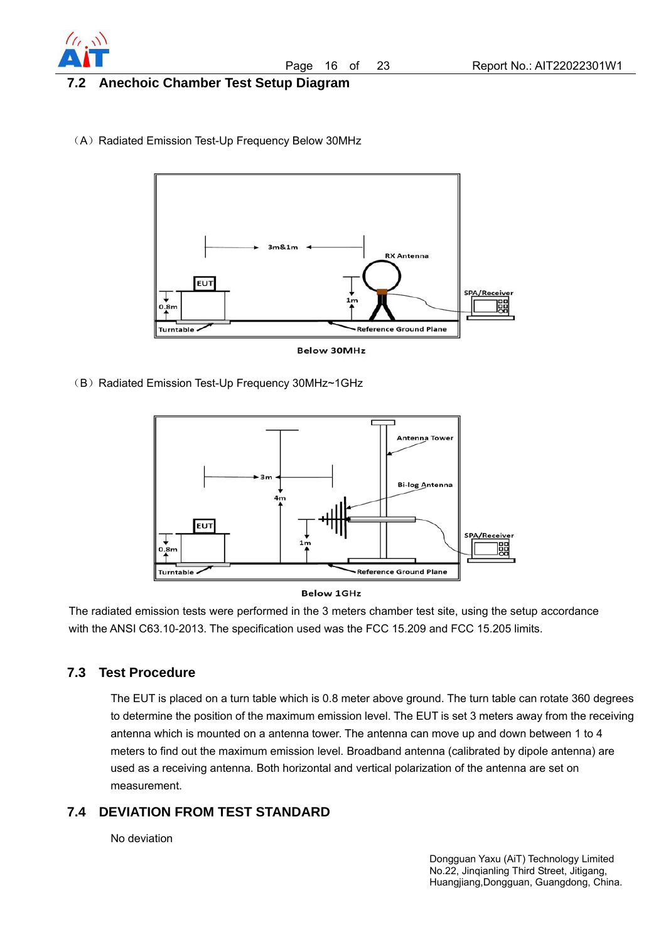

### **7.2 Anechoic Chamber Test Setup Diagram**

(A) Radiated Emission Test-Up Frequency Below 30MHz



**Below 30MHz** 

(B) Radiated Emission Test-Up Frequency 30MHz~1GHz





The radiated emission tests were performed in the 3 meters chamber test site, using the setup accordance with the ANSI C63.10-2013. The specification used was the FCC 15.209 and FCC 15.205 limits.

### **7.3 Test Procedure**

The EUT is placed on a turn table which is 0.8 meter above ground. The turn table can rotate 360 degrees to determine the position of the maximum emission level. The EUT is set 3 meters away from the receiving antenna which is mounted on a antenna tower. The antenna can move up and down between 1 to 4 meters to find out the maximum emission level. Broadband antenna (calibrated by dipole antenna) are used as a receiving antenna. Both horizontal and vertical polarization of the antenna are set on measurement.

## **7.4 DEVIATION FROM TEST STANDARD**

No deviation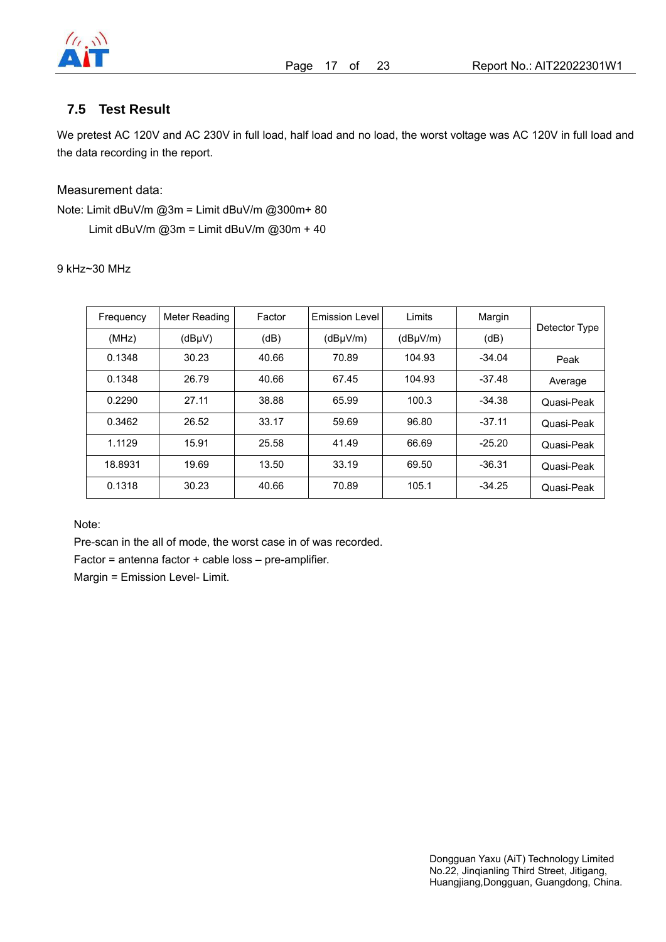

### **7.5 Test Result**

We pretest AC 120V and AC 230V in full load, half load and no load, the worst voltage was AC 120V in full load and the data recording in the report.

Measurement data:

Note: Limit dBuV/m @3m = Limit dBuV/m @300m+ 80 Limit dBuV/m  $@3m =$  Limit dBuV/m  $@30m + 40$ 

9 kHz~30 MHz

| Frequency | Meter Reading | Factor | <b>Emission Level</b> | Limits   | Margin   | Detector Type |
|-----------|---------------|--------|-----------------------|----------|----------|---------------|
| (MHz)     | $(dB\mu V)$   | (dB)   | $(dB\mu V/m)$         | (dBuV/m) | (dB)     |               |
| 0.1348    | 30.23         | 40.66  | 70.89                 | 104.93   | $-34.04$ | Peak          |
| 0.1348    | 26.79         | 40.66  | 67.45                 | 104.93   | $-37.48$ | Average       |
| 0.2290    | 27.11         | 38.88  | 65.99                 | 100.3    | $-34.38$ | Quasi-Peak    |
| 0.3462    | 26.52         | 33.17  | 59.69                 | 96.80    | $-37.11$ | Quasi-Peak    |
| 1.1129    | 15.91         | 25.58  | 41.49                 | 66.69    | $-25.20$ | Quasi-Peak    |
| 18.8931   | 19.69         | 13.50  | 33.19                 | 69.50    | $-36.31$ | Quasi-Peak    |
| 0.1318    | 30.23         | 40.66  | 70.89                 | 105.1    | $-34.25$ | Quasi-Peak    |

Note:

Pre-scan in the all of mode, the worst case in of was recorded.

Factor = antenna factor + cable loss – pre-amplifier.

Margin = Emission Level- Limit.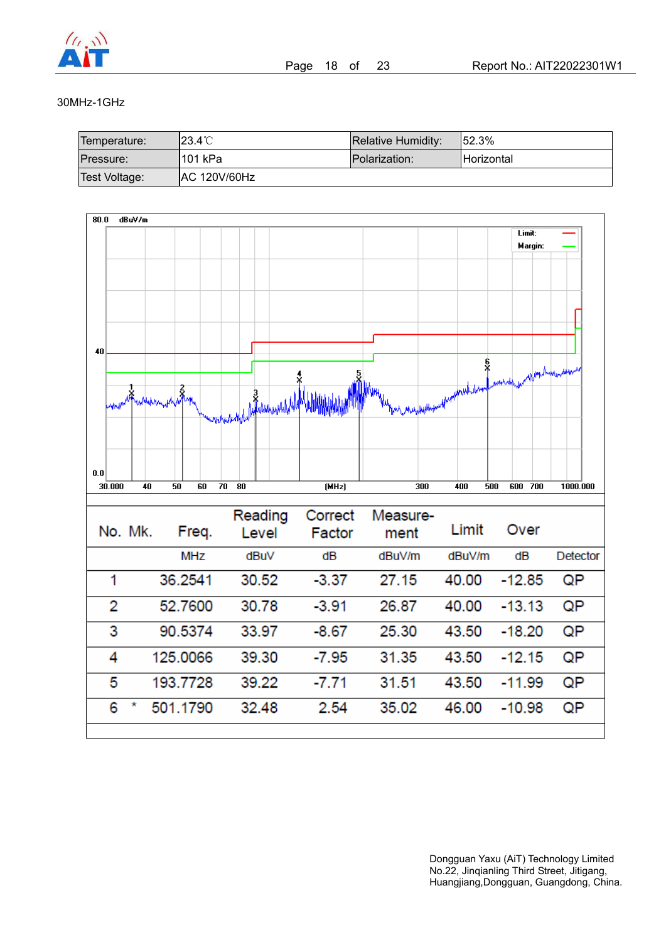

#### 30MHz-1GHz

| Temperature:  | 123.4℃              | Relative Humidity: | 152.3%             |
|---------------|---------------------|--------------------|--------------------|
| Pressure:     | l101 kPa            | Polarization:      | <b>IHorizontal</b> |
| Test Voltage: | <b>AC 120V/60Hz</b> |                    |                    |

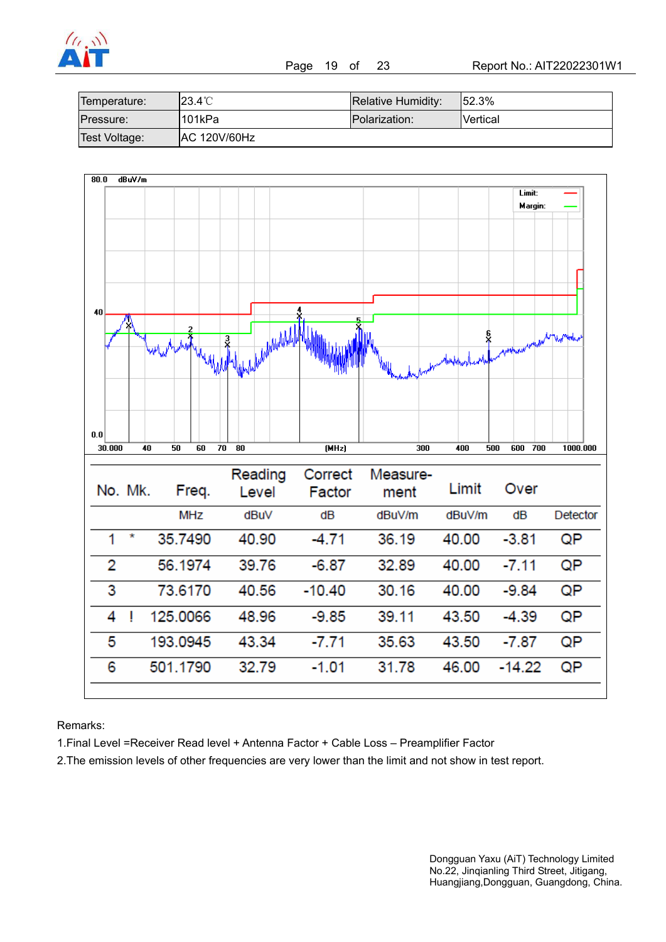

| Temperature:  | l23.4℃              | Relative Humidity: | 52.3%           |
|---------------|---------------------|--------------------|-----------------|
| Pressure:     | 1101kPa             | Polarization:      | <b>Nertical</b> |
| Test Voltage: | <b>AC 120V/60Hz</b> |                    |                 |



Remarks:

1.Final Level =Receiver Read level + Antenna Factor + Cable Loss – Preamplifier Factor

2.The emission levels of other frequencies are very lower than the limit and not show in test report.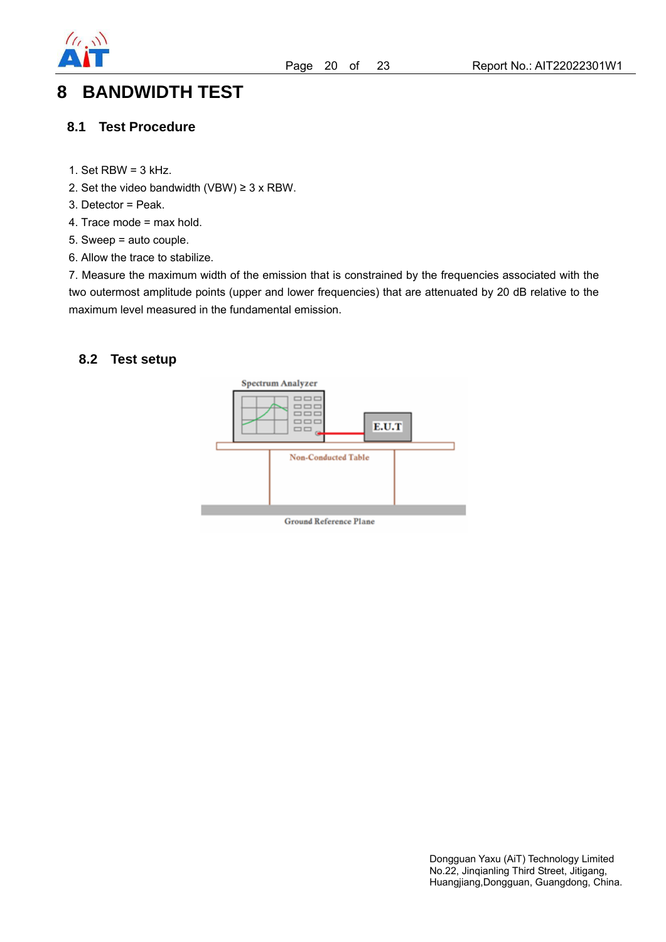

## **8 BANDWIDTH TEST**

#### **8.1 Test Procedure**

- 1. Set  $RBW = 3$  kHz.
- 2. Set the video bandwidth (VBW)  $\geq$  3 x RBW.
- 3. Detector = Peak.
- 4. Trace mode = max hold.
- 5. Sweep = auto couple.
- 6. Allow the trace to stabilize.

7. Measure the maximum width of the emission that is constrained by the frequencies associated with the two outermost amplitude points (upper and lower frequencies) that are attenuated by 20 dB relative to the maximum level measured in the fundamental emission.

#### **8.2 Test setup**

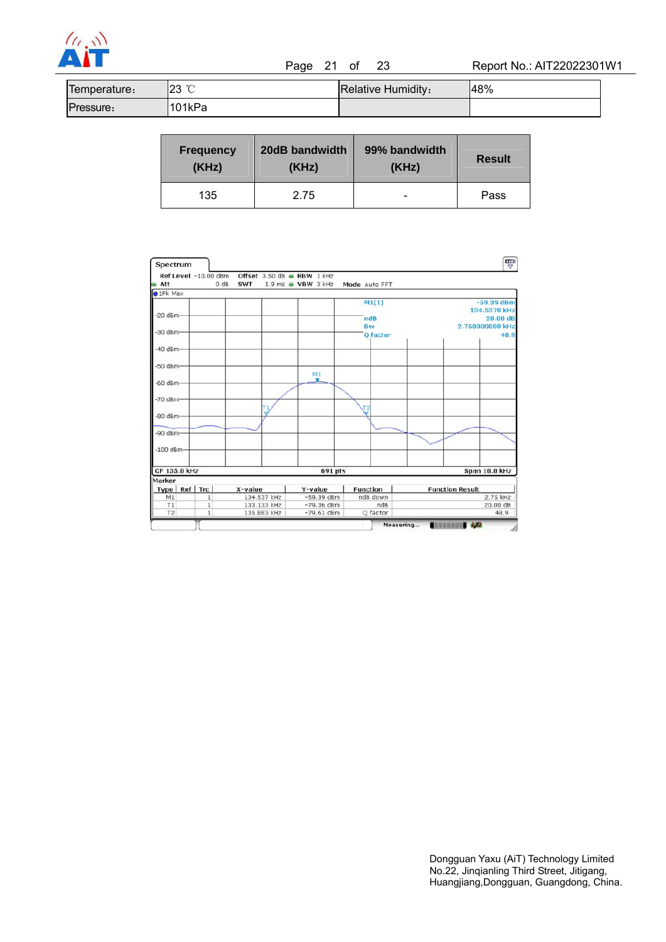

 $\begin{array}{ccc} \sqrt{(1-\lambda)^3} & & & \sqrt{(1-\lambda)^3} \ \hline \end{array}$  Page 21 of 23 Report No.: AIT22022301W1

| lemperature: | $\sim$<br>nn<br>້∠<br>◡ | <b>Relative Humidity:</b> | 48% |
|--------------|-------------------------|---------------------------|-----|
| ressure:     | 101kPa                  |                           |     |

| 20dB bandwidth<br><b>Frequency</b><br>(KHz)<br>(KHz) |      | 99% bandwidth<br>(KHz) | <b>Result</b> |  |
|------------------------------------------------------|------|------------------------|---------------|--|
| 135                                                  | 2.75 | -                      | Pass          |  |

| Spectrum                 |                              |                            |                                      |              |                              |       |                 |                        |          |                 | 쁏                |  |
|--------------------------|------------------------------|----------------------------|--------------------------------------|--------------|------------------------------|-------|-----------------|------------------------|----------|-----------------|------------------|--|
|                          | Ref Level -10.00 dBm         |                            | Offset 3.50 dB RBW 1 kHz             |              |                              |       |                 |                        |          |                 |                  |  |
| Att<br>$\bullet$ 1Pk Max | 0 dB                         | <b>SWT</b>                 | $1.9 \text{ ms}$ WBW $3 \text{ kHz}$ |              |                              |       | Mode Auto FFT   |                        |          |                 |                  |  |
|                          |                              |                            |                                      |              |                              |       |                 |                        |          |                 | $-59.39$ dBm     |  |
|                          |                              |                            |                                      |              |                              | M1[1] |                 |                        |          | 134.5370 kHz    |                  |  |
| $-20$ dBm $-$            |                              |                            |                                      |              |                              |       | ndB             |                        |          |                 | 20.00 dB         |  |
|                          |                              |                            |                                      |              |                              | Bw    |                 |                        |          | 2.750000000 kHz |                  |  |
| -30 dBm-                 |                              |                            |                                      |              |                              |       | Q factor        |                        |          |                 | 48.9             |  |
|                          |                              |                            |                                      |              |                              |       |                 |                        |          |                 |                  |  |
| $-40$ dBm-               |                              |                            |                                      |              |                              |       |                 |                        |          |                 |                  |  |
|                          |                              |                            |                                      |              |                              |       |                 |                        |          |                 |                  |  |
| $-50$ dBm $-$            |                              |                            |                                      |              |                              |       |                 |                        |          |                 |                  |  |
|                          |                              |                            |                                      |              | M1<br>v                      |       |                 |                        |          |                 |                  |  |
| $-60$ dBm $-$            |                              |                            |                                      |              |                              |       |                 |                        |          |                 |                  |  |
|                          |                              |                            |                                      |              |                              |       |                 |                        |          |                 |                  |  |
| $-70$ dBm                |                              |                            |                                      |              |                              |       |                 |                        |          |                 |                  |  |
|                          |                              |                            |                                      |              |                              |       | $\frac{12}{7}$  |                        |          |                 |                  |  |
| $-80$ dBm $-$            |                              |                            |                                      |              |                              |       |                 |                        |          |                 |                  |  |
|                          |                              |                            |                                      |              |                              |       |                 |                        |          |                 |                  |  |
| $-90$ dBm-               |                              |                            |                                      |              |                              |       |                 |                        |          |                 |                  |  |
| $-100$ dBm-              |                              |                            |                                      |              |                              |       |                 |                        |          |                 |                  |  |
|                          |                              |                            |                                      |              |                              |       |                 |                        |          |                 |                  |  |
|                          |                              |                            |                                      |              |                              |       |                 |                        |          |                 |                  |  |
| CF 135.0 kHz             |                              |                            |                                      |              | 691 pts                      |       |                 |                        |          |                 | Span 10.0 kHz    |  |
| Marker                   |                              |                            |                                      |              |                              |       |                 |                        |          |                 |                  |  |
| Type Ref                 | Trc                          | X-value                    |                                      |              | Y-value                      |       | <b>Function</b> | <b>Function Result</b> |          |                 |                  |  |
| M1                       | $\mathbf 1$                  | 134.537 kHz<br>133.133 kHz |                                      | $-59.39$ dBm |                              |       | ndB down        |                        | 2.75 kHz |                 |                  |  |
| T1<br>T2                 | $\mathbf{1}$<br>$\mathbf{1}$ |                            | 135.883 kHz                          |              | $-79.36$ dBm<br>$-79.61$ dBm |       | ndB             |                        |          |                 | 20.00 dB<br>48.9 |  |
|                          |                              |                            |                                      |              |                              |       | Q factor        |                        |          |                 |                  |  |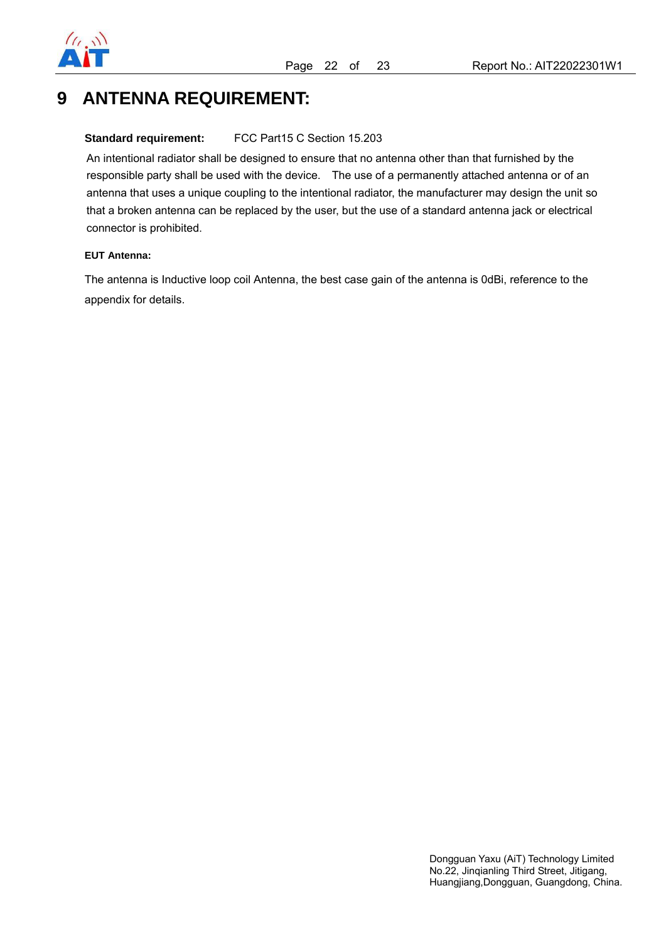

## **9 ANTENNA REQUIREMENT:**

#### **Standard requirement:** FCC Part15 C Section 15.203

An intentional radiator shall be designed to ensure that no antenna other than that furnished by the responsible party shall be used with the device. The use of a permanently attached antenna or of an antenna that uses a unique coupling to the intentional radiator, the manufacturer may design the unit so that a broken antenna can be replaced by the user, but the use of a standard antenna jack or electrical connector is prohibited.

#### **EUT Antenna:**

The antenna is Inductive loop coil Antenna, the best case gain of the antenna is 0dBi, reference to the appendix for details.